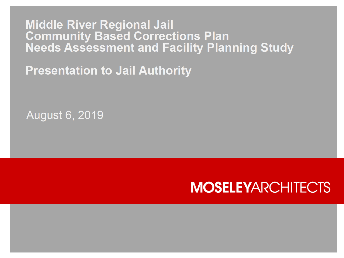### **Middle River Regional Jail Community Based Corrections Plan Needs Assessment and Facility Planning Study**

**Presentation to Jail Authority** 

**August 6, 2019** 

### **MOSELEYARCHITECTS**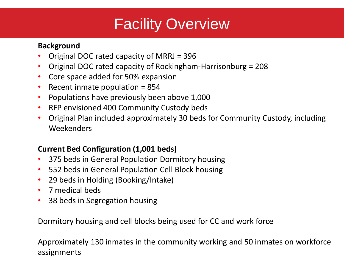## Facility Overview

### **Background**

- Original DOC rated capacity of MRRJ = 396
- Original DOC rated capacity of Rockingham-Harrisonburg = 208
- Core space added for 50% expansion
- Recent inmate population = 854
- Populations have previously been above 1,000
- RFP envisioned 400 Community Custody beds
- Original Plan included approximately 30 beds for Community Custody, including Weekenders

### **Current Bed Configuration (1,001 beds)**

- 375 beds in General Population Dormitory housing
- 552 beds in General Population Cell Block housing
- 29 beds in Holding (Booking/Intake)
- 7 medical beds
- 38 beds in Segregation housing

Dormitory housing and cell blocks being used for CC and work force

Approximately 130 inmates in the community working and 50 inmates on workforce assignments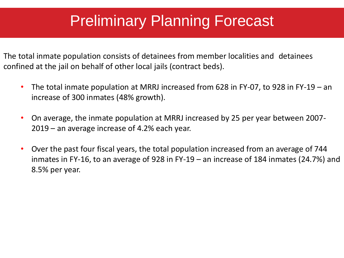## Preliminary Planning Forecast

The total inmate population consists of detainees from member localities and detainees confined at the jail on behalf of other local jails (contract beds).

- The total inmate population at MRRJ increased from 628 in FY-07, to 928 in FY-19 an increase of 300 inmates (48% growth).
- On average, the inmate population at MRRJ increased by 25 per year between 2007- 2019 – an average increase of 4.2% each year.
- Over the past four fiscal years, the total population increased from an average of 744 inmates in FY-16, to an average of 928 in FY-19 – an increase of 184 inmates (24.7%) and 8.5% per year.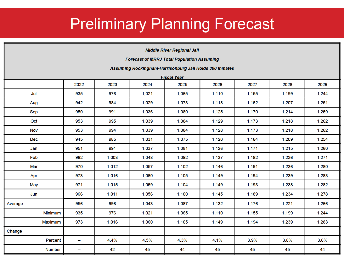## **Preliminary Planning Forecast**

#### **Middle River Regional Jail**

#### **Forecast of MRRJ Total Population Assuming**

#### Assuming Rockingham-Harrisonburg Jail Holds 300 Inmates

|            |        |       |       | <b>Fiscal Year</b> |       |       |       |       |
|------------|--------|-------|-------|--------------------|-------|-------|-------|-------|
|            | 2022   | 2023  | 2024  | 2025               | 2026  | 2027  | 2028  | 2029  |
| Jul        | 935    | 976   | 1,021 | 1,065              | 1,110 | 1,155 | 1,199 | 1,244 |
| Aug        | 942    | 984   | 1,029 | 1,073              | 1,118 | 1,162 | 1,207 | 1,251 |
| Sep        | 950    | 991   | 1,036 | 1,080              | 1,125 | 1,170 | 1,214 | 1,259 |
| Oct        | 953    | 995   | 1,039 | 1,084              | 1,129 | 1,173 | 1,218 | 1,262 |
| <b>Nov</b> | 953    | 994   | 1,039 | 1,084              | 1,128 | 1,173 | 1,218 | 1,262 |
| Dec        | 945    | 985   | 1,031 | 1,075              | 1,120 | 1,164 | 1,209 | 1,254 |
| Jan        | 951    | 991   | 1,037 | 1,081              | 1,126 | 1,171 | 1,215 | 1,260 |
| Feb        | 962    | 1,003 | 1,048 | 1,092              | 1,137 | 1,182 | 1,226 | 1,271 |
| Mar        | 970    | 1,012 | 1,057 | 1,102              | 1,146 | 1,191 | 1,236 | 1,280 |
| Apr        | 973    | 1,016 | 1,060 | 1,105              | 1,149 | 1,194 | 1,239 | 1,283 |
| May        | 971    | 1,015 | 1,059 | 1,104              | 1,149 | 1,193 | 1,238 | 1,282 |
| Jun        | 966    | 1,011 | 1,056 | 1,100              | 1,145 | 1,189 | 1,234 | 1,278 |
| Average    | 956    | 998   | 1,043 | 1,087              | 1,132 | 1,176 | 1,221 | 1,266 |
| Minimum    | 935    | 976   | 1,021 | 1,065              | 1,110 | 1,155 | 1,199 | 1,244 |
| Maximum    | 973    | 1,016 | 1,060 | 1,105              | 1,149 | 1,194 | 1,239 | 1,283 |
| Change     |        |       |       |                    |       |       |       |       |
| Percent    | $\sim$ | 4.4%  | 4.5%  | 4.3%               | 4.1%  | 3.9%  | 3.8%  | 3.6%  |
| Number     | $\sim$ | 42    | 45    | 44                 | 45    | 45    | 45    | 44    |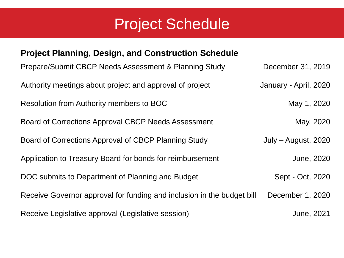### Project Schedule

### **Project Planning, Design, and Construction Schedule**

| Prepare/Submit CBCP Needs Assessment & Planning Study                  | December 31, 2019     |
|------------------------------------------------------------------------|-----------------------|
| Authority meetings about project and approval of project               | January - April, 2020 |
| Resolution from Authority members to BOC                               | May 1, 2020           |
| Board of Corrections Approval CBCP Needs Assessment                    | May, 2020             |
| Board of Corrections Approval of CBCP Planning Study                   | July – August, 2020   |
| Application to Treasury Board for bonds for reimbursement              | June, 2020            |
| DOC submits to Department of Planning and Budget                       | Sept - Oct, 2020      |
| Receive Governor approval for funding and inclusion in the budget bill | December 1, 2020      |
| Receive Legislative approval (Legislative session)                     | June, 2021            |